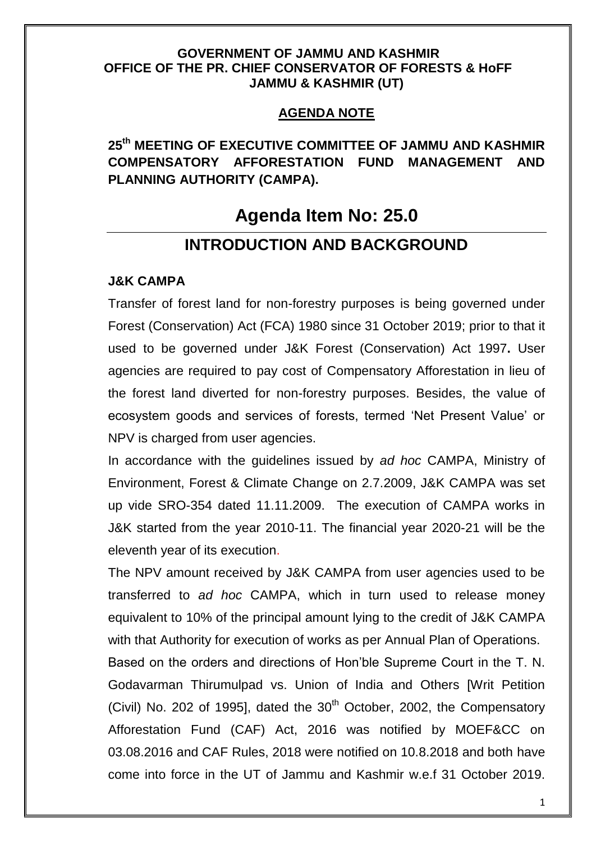#### **GOVERNMENT OF JAMMU AND KASHMIR OFFICE OF THE PR. CHIEF CONSERVATOR OF FORESTS & HoFF JAMMU & KASHMIR (UT)**

## **AGENDA NOTE**

**25th MEETING OF EXECUTIVE COMMITTEE OF JAMMU AND KASHMIR COMPENSATORY AFFORESTATION FUND MANAGEMENT AND PLANNING AUTHORITY (CAMPA).**

# **Agenda Item No: 25.0**

# **INTRODUCTION AND BACKGROUND**

#### **J&K CAMPA**

Transfer of forest land for non-forestry purposes is being governed under Forest (Conservation) Act (FCA) 1980 since 31 October 2019; prior to that it used to be governed under J&K Forest (Conservation) Act 1997**.** User agencies are required to pay cost of Compensatory Afforestation in lieu of the forest land diverted for non-forestry purposes. Besides, the value of ecosystem goods and services of forests, termed "Net Present Value" or NPV is charged from user agencies.

In accordance with the guidelines issued by *ad hoc* CAMPA, Ministry of Environment, Forest & Climate Change on 2.7.2009, J&K CAMPA was set up vide SRO-354 dated 11.11.2009. The execution of CAMPA works in J&K started from the year 2010-11. The financial year 2020-21 will be the eleventh year of its execution.

The NPV amount received by J&K CAMPA from user agencies used to be transferred to *ad hoc* CAMPA, which in turn used to release money equivalent to 10% of the principal amount lying to the credit of J&K CAMPA with that Authority for execution of works as per Annual Plan of Operations.

Based on the orders and directions of Hon"ble Supreme Court in the T. N. Godavarman Thirumulpad vs. Union of India and Others [Writ Petition (Civil) No. 202 of 1995], dated the  $30<sup>th</sup>$  October, 2002, the Compensatory Afforestation Fund (CAF) Act, 2016 was notified by MOEF&CC on 03.08.2016 and CAF Rules, 2018 were notified on 10.8.2018 and both have come into force in the UT of Jammu and Kashmir w.e.f 31 October 2019.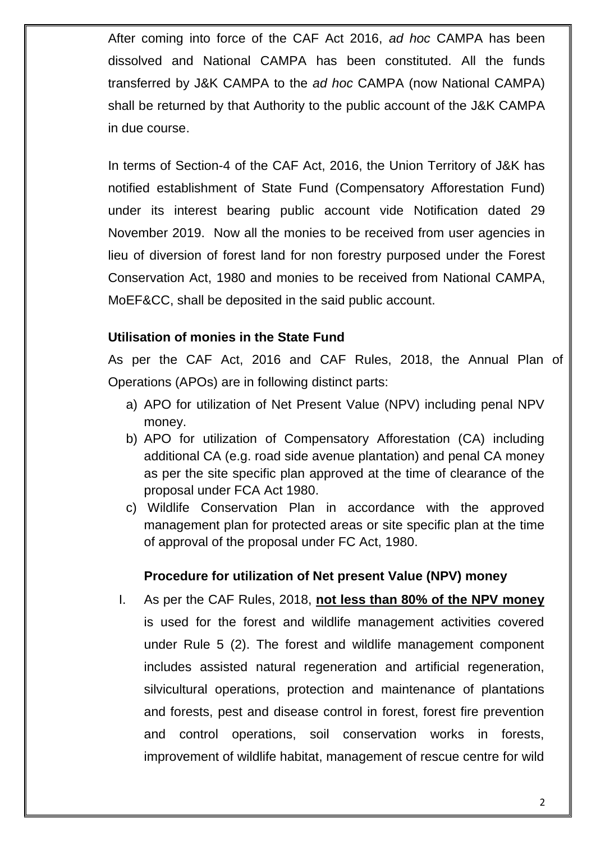After coming into force of the CAF Act 2016, *ad hoc* CAMPA has been dissolved and National CAMPA has been constituted. All the funds transferred by J&K CAMPA to the *ad hoc* CAMPA (now National CAMPA) shall be returned by that Authority to the public account of the J&K CAMPA in due course.

In terms of Section-4 of the CAF Act, 2016, the Union Territory of J&K has notified establishment of State Fund (Compensatory Afforestation Fund) under its interest bearing public account vide Notification dated 29 November 2019. Now all the monies to be received from user agencies in lieu of diversion of forest land for non forestry purposed under the Forest Conservation Act, 1980 and monies to be received from National CAMPA, MoEF&CC, shall be deposited in the said public account.

### **Utilisation of monies in the State Fund**

As per the CAF Act, 2016 and CAF Rules, 2018, the Annual Plan of Operations (APOs) are in following distinct parts:

- a) APO for utilization of Net Present Value (NPV) including penal NPV money.
- b) APO for utilization of Compensatory Afforestation (CA) including additional CA (e.g. road side avenue plantation) and penal CA money as per the site specific plan approved at the time of clearance of the proposal under FCA Act 1980.
- c) Wildlife Conservation Plan in accordance with the approved management plan for protected areas or site specific plan at the time of approval of the proposal under FC Act, 1980.

### **Procedure for utilization of Net present Value (NPV) money**

I. As per the CAF Rules, 2018, **not less than 80% of the NPV money** is used for the forest and wildlife management activities covered under Rule 5 (2). The forest and wildlife management component includes assisted natural regeneration and artificial regeneration, silvicultural operations, protection and maintenance of plantations and forests, pest and disease control in forest, forest fire prevention and control operations, soil conservation works in forests, improvement of wildlife habitat, management of rescue centre for wild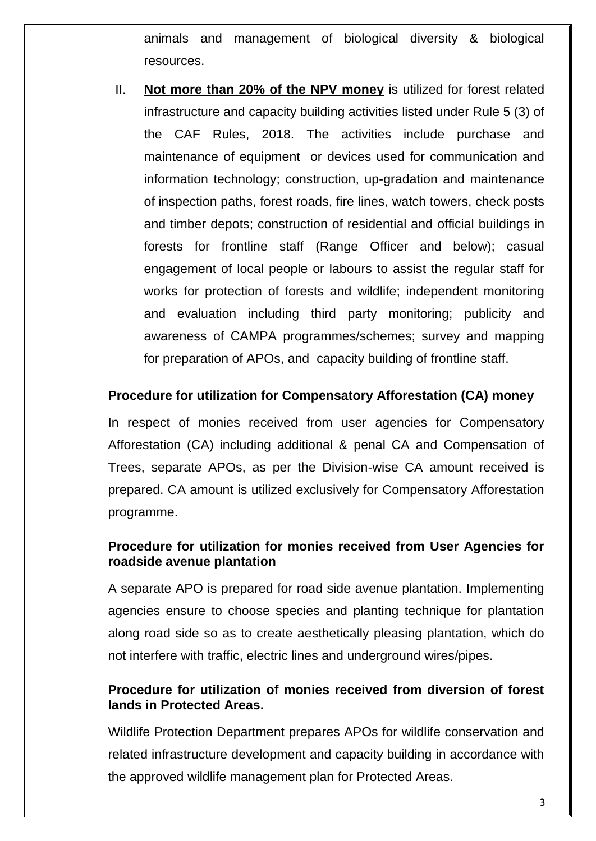animals and management of biological diversity & biological resources.

II. **Not more than 20% of the NPV money** is utilized for forest related infrastructure and capacity building activities listed under Rule 5 (3) of the CAF Rules, 2018. The activities include purchase and maintenance of equipment or devices used for communication and information technology; construction, up-gradation and maintenance of inspection paths, forest roads, fire lines, watch towers, check posts and timber depots; construction of residential and official buildings in forests for frontline staff (Range Officer and below); casual engagement of local people or labours to assist the regular staff for works for protection of forests and wildlife; independent monitoring and evaluation including third party monitoring; publicity and awareness of CAMPA programmes/schemes; survey and mapping for preparation of APOs, and capacity building of frontline staff.

#### **Procedure for utilization for Compensatory Afforestation (CA) money**

In respect of monies received from user agencies for Compensatory Afforestation (CA) including additional & penal CA and Compensation of Trees, separate APOs, as per the Division-wise CA amount received is prepared. CA amount is utilized exclusively for Compensatory Afforestation programme.

#### **Procedure for utilization for monies received from User Agencies for roadside avenue plantation**

A separate APO is prepared for road side avenue plantation. Implementing agencies ensure to choose species and planting technique for plantation along road side so as to create aesthetically pleasing plantation, which do not interfere with traffic, electric lines and underground wires/pipes.

#### **Procedure for utilization of monies received from diversion of forest lands in Protected Areas.**

Wildlife Protection Department prepares APOs for wildlife conservation and related infrastructure development and capacity building in accordance with the approved wildlife management plan for Protected Areas.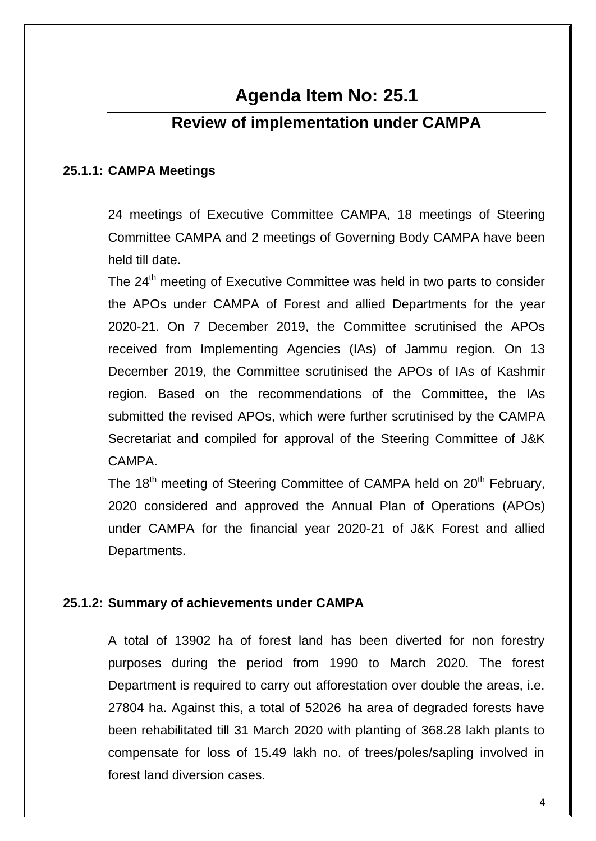# **Agenda Item No: 25.1**

# **Review of implementation under CAMPA**

#### **25.1.1: CAMPA Meetings**

24 meetings of Executive Committee CAMPA, 18 meetings of Steering Committee CAMPA and 2 meetings of Governing Body CAMPA have been held till date.

The 24<sup>th</sup> meeting of Executive Committee was held in two parts to consider the APOs under CAMPA of Forest and allied Departments for the year 2020-21. On 7 December 2019, the Committee scrutinised the APOs received from Implementing Agencies (IAs) of Jammu region. On 13 December 2019, the Committee scrutinised the APOs of IAs of Kashmir region. Based on the recommendations of the Committee, the IAs submitted the revised APOs, which were further scrutinised by the CAMPA Secretariat and compiled for approval of the Steering Committee of J&K CAMPA.

The 18<sup>th</sup> meeting of Steering Committee of CAMPA held on 20<sup>th</sup> February, 2020 considered and approved the Annual Plan of Operations (APOs) under CAMPA for the financial year 2020-21 of J&K Forest and allied Departments.

### **25.1.2: Summary of achievements under CAMPA**

A total of 13902 ha of forest land has been diverted for non forestry purposes during the period from 1990 to March 2020. The forest Department is required to carry out afforestation over double the areas, i.e. 27804 ha. Against this, a total of 52026 ha area of degraded forests have been rehabilitated till 31 March 2020 with planting of 368.28 lakh plants to compensate for loss of 15.49 lakh no. of trees/poles/sapling involved in forest land diversion cases.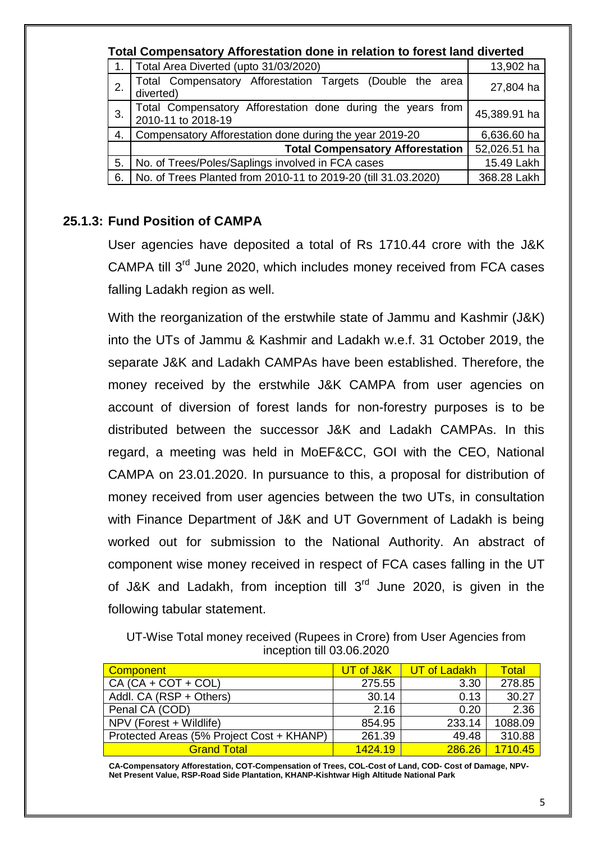|    | <b>Total Compensatory Afforestation done in relation to forest land diverted</b>  |              |  |  |  |  |  |  |
|----|-----------------------------------------------------------------------------------|--------------|--|--|--|--|--|--|
|    | Total Area Diverted (upto 31/03/2020)                                             | 13,902 ha    |  |  |  |  |  |  |
| 2. | Total Compensatory Afforestation Targets (Double the area<br>diverted)            | 27,804 ha    |  |  |  |  |  |  |
| 3. | Total Compensatory Afforestation done during the years from<br>2010-11 to 2018-19 | 45,389.91 ha |  |  |  |  |  |  |
| 4. | Compensatory Afforestation done during the year 2019-20                           | 6,636.60 ha  |  |  |  |  |  |  |
|    | <b>Total Compensatory Afforestation</b><br>52,026.51 ha                           |              |  |  |  |  |  |  |
| 5. | No. of Trees/Poles/Saplings involved in FCA cases<br>15.49 Lakh                   |              |  |  |  |  |  |  |
| 6. | No. of Trees Planted from 2010-11 to 2019-20 (till 31.03.2020)                    | 368.28 Lakh  |  |  |  |  |  |  |

## **25.1.3: Fund Position of CAMPA**

User agencies have deposited a total of Rs 1710.44 crore with the J&K CAMPA till 3<sup>rd</sup> June 2020, which includes money received from FCA cases falling Ladakh region as well.

With the reorganization of the erstwhile state of Jammu and Kashmir (J&K) into the UTs of Jammu & Kashmir and Ladakh w.e.f. 31 October 2019, the separate J&K and Ladakh CAMPAs have been established. Therefore, the money received by the erstwhile J&K CAMPA from user agencies on account of diversion of forest lands for non-forestry purposes is to be distributed between the successor J&K and Ladakh CAMPAs. In this regard, a meeting was held in MoEF&CC, GOI with the CEO, National CAMPA on 23.01.2020. In pursuance to this, a proposal for distribution of money received from user agencies between the two UTs, in consultation with Finance Department of J&K and UT Government of Ladakh is being worked out for submission to the National Authority. An abstract of component wise money received in respect of FCA cases falling in the UT of J&K and Ladakh, from inception till 3<sup>rd</sup> June 2020, is given in the following tabular statement.

UT-Wise Total money received (Rupees in Crore) from User Agencies from inception till 03.06.2020

| <b>Component</b>                          | UT of J&K | UT of Ladakh | <b>Total</b> |
|-------------------------------------------|-----------|--------------|--------------|
| $CA (CA + COT + COL)$                     | 275.55    | 3.30         | 278.85       |
| Addl. CA (RSP + Others)                   | 30.14     | 0.13         | 30.27        |
| Penal CA (COD)                            | 2.16      | 0.20         | 2.36         |
| NPV (Forest + Wildlife)                   | 854.95    | 233.14       | 1088.09      |
| Protected Areas (5% Project Cost + KHANP) | 261.39    | 49.48        | 310.88       |
| <b>Grand Total</b>                        | 1424.19   | 286.26       | 1710.45      |

**CA-Compensatory Afforestation, COT-Compensation of Trees, COL-Cost of Land, COD- Cost of Damage, NPV-Net Present Value, RSP-Road Side Plantation, KHANP-Kishtwar High Altitude National Park**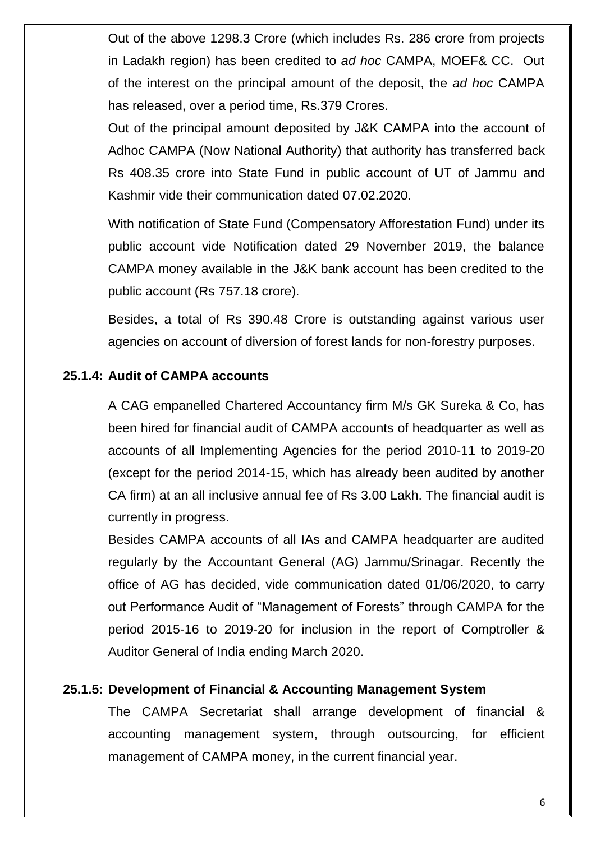Out of the above 1298.3 Crore (which includes Rs. 286 crore from projects in Ladakh region) has been credited to *ad hoc* CAMPA, MOEF& CC. Out of the interest on the principal amount of the deposit, the *ad hoc* CAMPA has released, over a period time, Rs.379 Crores.

Out of the principal amount deposited by J&K CAMPA into the account of Adhoc CAMPA (Now National Authority) that authority has transferred back Rs 408.35 crore into State Fund in public account of UT of Jammu and Kashmir vide their communication dated 07.02.2020.

With notification of State Fund (Compensatory Afforestation Fund) under its public account vide Notification dated 29 November 2019, the balance CAMPA money available in the J&K bank account has been credited to the public account (Rs 757.18 crore).

Besides, a total of Rs 390.48 Crore is outstanding against various user agencies on account of diversion of forest lands for non-forestry purposes.

### **25.1.4: Audit of CAMPA accounts**

A CAG empanelled Chartered Accountancy firm M/s GK Sureka & Co, has been hired for financial audit of CAMPA accounts of headquarter as well as accounts of all Implementing Agencies for the period 2010-11 to 2019-20 (except for the period 2014-15, which has already been audited by another CA firm) at an all inclusive annual fee of Rs 3.00 Lakh. The financial audit is currently in progress.

Besides CAMPA accounts of all IAs and CAMPA headquarter are audited regularly by the Accountant General (AG) Jammu/Srinagar. Recently the office of AG has decided, vide communication dated 01/06/2020, to carry out Performance Audit of "Management of Forests" through CAMPA for the period 2015-16 to 2019-20 for inclusion in the report of Comptroller & Auditor General of India ending March 2020.

## **25.1.5: Development of Financial & Accounting Management System**

The CAMPA Secretariat shall arrange development of financial & accounting management system, through outsourcing, for efficient management of CAMPA money, in the current financial year.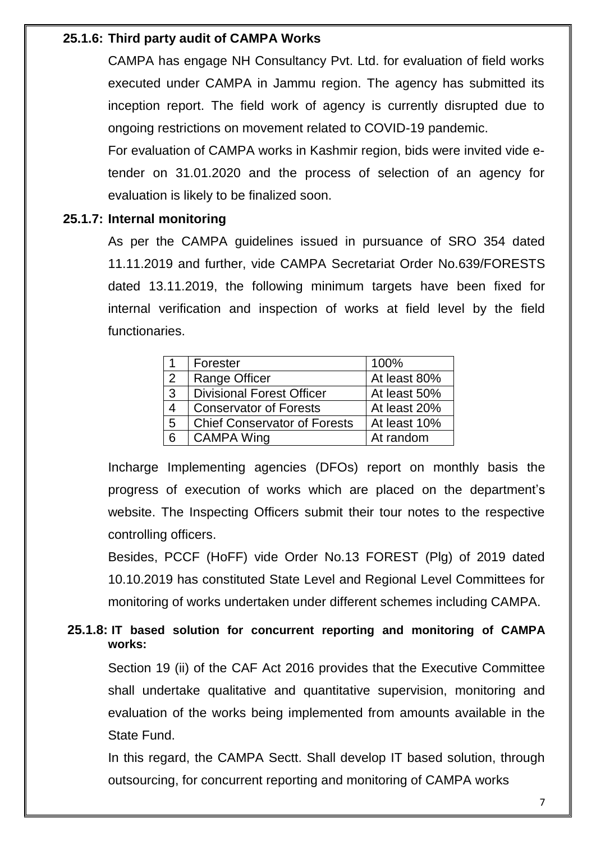## **25.1.6: Third party audit of CAMPA Works**

CAMPA has engage NH Consultancy Pvt. Ltd. for evaluation of field works executed under CAMPA in Jammu region. The agency has submitted its inception report. The field work of agency is currently disrupted due to ongoing restrictions on movement related to COVID-19 pandemic.

For evaluation of CAMPA works in Kashmir region, bids were invited vide etender on 31.01.2020 and the process of selection of an agency for evaluation is likely to be finalized soon.

### **25.1.7: Internal monitoring**

As per the CAMPA guidelines issued in pursuance of SRO 354 dated 11.11.2019 and further, vide CAMPA Secretariat Order No.639/FORESTS dated 13.11.2019, the following minimum targets have been fixed for internal verification and inspection of works at field level by the field functionaries.

|   | Forester                            | 100%         |
|---|-------------------------------------|--------------|
| 2 | Range Officer                       | At least 80% |
| 3 | <b>Divisional Forest Officer</b>    | At least 50% |
|   | <b>Conservator of Forests</b>       | At least 20% |
| 5 | <b>Chief Conservator of Forests</b> | At least 10% |
| 6 | <b>CAMPA Wing</b>                   | At random    |

Incharge Implementing agencies (DFOs) report on monthly basis the progress of execution of works which are placed on the department"s website. The Inspecting Officers submit their tour notes to the respective controlling officers.

Besides, PCCF (HoFF) vide Order No.13 FOREST (Plg) of 2019 dated 10.10.2019 has constituted State Level and Regional Level Committees for monitoring of works undertaken under different schemes including CAMPA.

## **25.1.8: IT based solution for concurrent reporting and monitoring of CAMPA works:**

Section 19 (ii) of the CAF Act 2016 provides that the Executive Committee shall undertake qualitative and quantitative supervision, monitoring and evaluation of the works being implemented from amounts available in the State Fund.

In this regard, the CAMPA Sectt. Shall develop IT based solution, through outsourcing, for concurrent reporting and monitoring of CAMPA works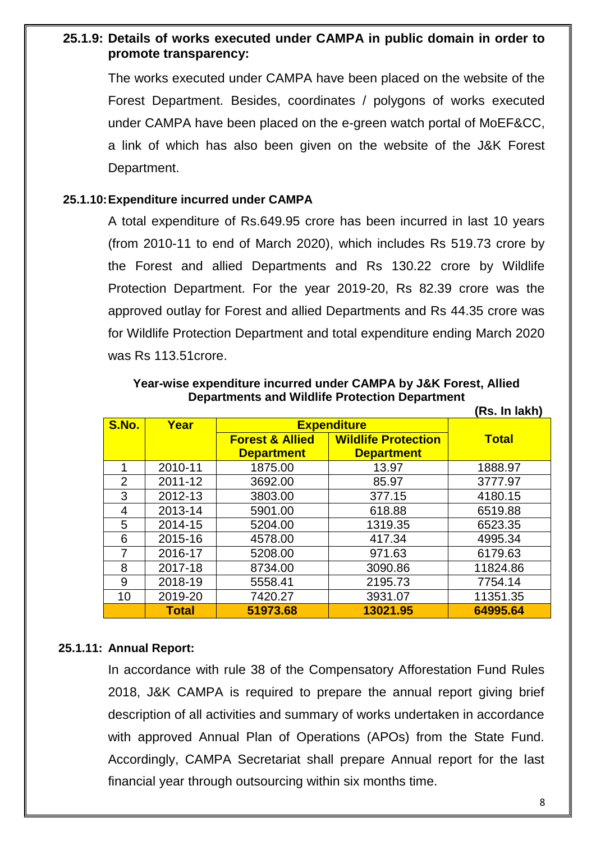### **25.1.9: Details of works executed under CAMPA in public domain in order to promote transparency:**

The works executed under CAMPA have been placed on the website of the Forest Department. Besides, coordinates / polygons of works executed under CAMPA have been placed on the e-green watch portal of MoEF&CC, a link of which has also been given on the website of the J&K Forest Department.

#### **25.1.10:Expenditure incurred under CAMPA**

A total expenditure of Rs.649.95 crore has been incurred in last 10 years (from 2010-11 to end of March 2020), which includes Rs 519.73 crore by the Forest and allied Departments and Rs 130.22 crore by Wildlife Protection Department. For the year 2019-20, Rs 82.39 crore was the approved outlay for Forest and allied Departments and Rs 44.35 crore was for Wildlife Protection Department and total expenditure ending March 2020 was Rs 113.51crore.

**Year-wise expenditure incurred under CAMPA by J&K Forest, Allied Departments and Wildlife Protection Department (Rs. In lakh)** 

|       |              |                            |                            | (RS. IN IAKN) |
|-------|--------------|----------------------------|----------------------------|---------------|
| S.No. | Year         | <b>Expenditure</b>         |                            |               |
|       |              | <b>Forest &amp; Allied</b> | <b>Wildlife Protection</b> | <b>Total</b>  |
|       |              | <b>Department</b>          | <b>Department</b>          |               |
|       | 2010-11      | 1875.00                    | 13.97                      | 1888.97       |
| 2     | 2011-12      | 3692.00                    | 85.97                      | 3777.97       |
| 3     | 2012-13      | 3803.00                    | 377.15                     | 4180.15       |
| 4     | 2013-14      | 5901.00                    | 618.88                     | 6519.88       |
| 5     | 2014-15      | 5204.00                    | 1319.35                    | 6523.35       |
| 6     | 2015-16      | 4578.00                    | 417.34                     | 4995.34       |
|       | 2016-17      | 5208.00                    | 971.63                     | 6179.63       |
| 8     | 2017-18      | 8734.00                    | 3090.86                    | 11824.86      |
| 9     | 2018-19      | 5558.41                    | 2195.73                    | 7754.14       |
| 10    | 2019-20      | 7420.27                    | 3931.07                    | 11351.35      |
|       | <b>Total</b> | 51973.68                   | 13021.95                   | 64995.64      |

#### **25.1.11: Annual Report:**

In accordance with rule 38 of the Compensatory Afforestation Fund Rules 2018, J&K CAMPA is required to prepare the annual report giving brief description of all activities and summary of works undertaken in accordance with approved Annual Plan of Operations (APOs) from the State Fund. Accordingly, CAMPA Secretariat shall prepare Annual report for the last financial year through outsourcing within six months time.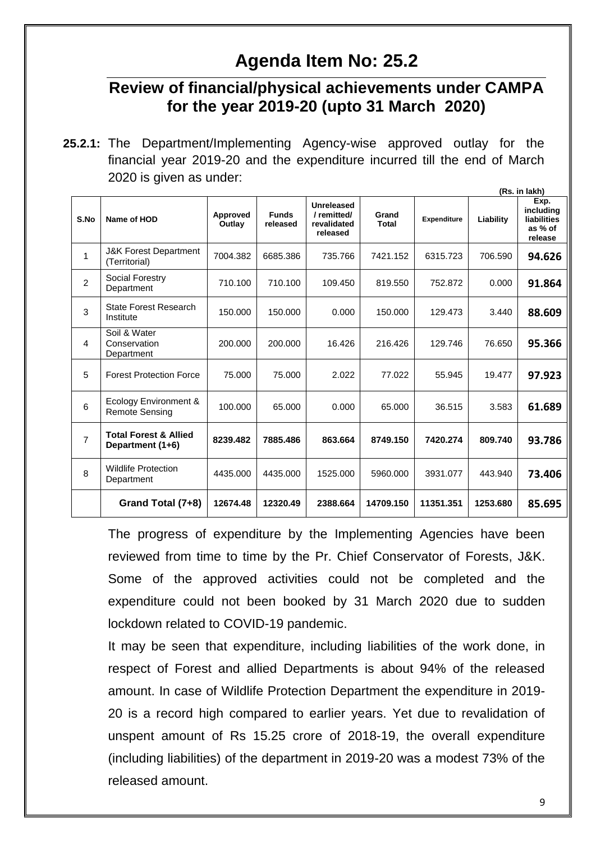# **Agenda Item No: 25.2**

# **Review of financial/physical achievements under CAMPA for the year 2019-20 (upto 31 March 2020)**

**<sup>25.2.1:</sup>** The Department/Implementing Agency-wise approved outlay for the financial year 2019-20 and the expenditure incurred till the end of March 2020 is given as under:

|                |                                                                  |                           |                          |                                                     |                       |                    |           | (Rs. in lakh)                                          |
|----------------|------------------------------------------------------------------|---------------------------|--------------------------|-----------------------------------------------------|-----------------------|--------------------|-----------|--------------------------------------------------------|
| S.No           | Name of HOD                                                      | <b>Approved</b><br>Outlay | <b>Funds</b><br>released | Unreleased<br>/remitted/<br>revalidated<br>released | Grand<br><b>Total</b> | <b>Expenditure</b> | Liability | Exp.<br>including<br>liabilities<br>as % of<br>release |
| $\mathbf{1}$   | <b>J&amp;K Forest Department</b><br>(Territorial)                | 7004.382                  | 6685.386                 | 735.766                                             | 7421.152              | 6315.723           | 706.590   | 94.626                                                 |
| $\overline{2}$ | Social Forestry<br>Department                                    | 710.100                   | 710.100                  | 109.450                                             | 819.550               | 752.872            | 0.000     | 91.864                                                 |
| 3              | State Forest Research<br>Institute                               | 150.000                   | 150.000                  | 0.000                                               | 150.000               | 129.473            | 3.440     | 88.609                                                 |
| 4              | Soil & Water<br>Conservation<br>Department                       | 200.000                   | 200.000                  | 16.426                                              | 216.426               | 129.746            | 76.650    | 95.366                                                 |
| 5              | <b>Forest Protection Force</b><br>75.000                         |                           | 75.000                   | 2.022                                               | 77.022                | 55.945             | 19.477    | 97.923                                                 |
| 6              | Ecology Environment &<br><b>Remote Sensing</b>                   | 100.000                   | 65.000                   | 0.000                                               | 65.000                | 36.515             | 3.583     | 61.689                                                 |
| $\overline{7}$ | <b>Total Forest &amp; Allied</b><br>8239.482<br>Department (1+6) |                           | 7885.486                 | 863.664                                             | 8749.150              | 7420.274           | 809.740   | 93.786                                                 |
| 8              | <b>Wildlife Protection</b><br>4435.000<br>Department             |                           | 4435.000                 | 1525.000                                            | 5960.000              | 3931.077           | 443.940   | 73.406                                                 |
|                | Grand Total (7+8)                                                | 12674.48                  | 12320.49                 | 2388.664                                            | 14709.150             | 11351.351          | 1253.680  | 85.695                                                 |

The progress of expenditure by the Implementing Agencies have been reviewed from time to time by the Pr. Chief Conservator of Forests, J&K. Some of the approved activities could not be completed and the expenditure could not been booked by 31 March 2020 due to sudden lockdown related to COVID-19 pandemic.

It may be seen that expenditure, including liabilities of the work done, in respect of Forest and allied Departments is about 94% of the released amount. In case of Wildlife Protection Department the expenditure in 2019- 20 is a record high compared to earlier years. Yet due to revalidation of unspent amount of Rs 15.25 crore of 2018-19, the overall expenditure (including liabilities) of the department in 2019-20 was a modest 73% of the released amount.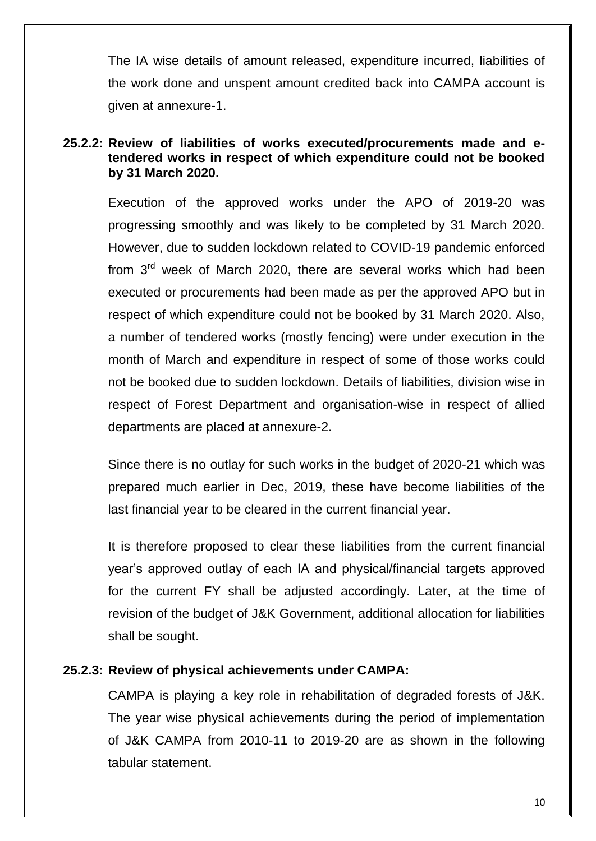The IA wise details of amount released, expenditure incurred, liabilities of the work done and unspent amount credited back into CAMPA account is given at annexure-1.

### **25.2.2: Review of liabilities of works executed/procurements made and etendered works in respect of which expenditure could not be booked by 31 March 2020.**

Execution of the approved works under the APO of 2019-20 was progressing smoothly and was likely to be completed by 31 March 2020. However, due to sudden lockdown related to COVID-19 pandemic enforced from 3<sup>rd</sup> week of March 2020, there are several works which had been executed or procurements had been made as per the approved APO but in respect of which expenditure could not be booked by 31 March 2020. Also, a number of tendered works (mostly fencing) were under execution in the month of March and expenditure in respect of some of those works could not be booked due to sudden lockdown. Details of liabilities, division wise in respect of Forest Department and organisation-wise in respect of allied departments are placed at annexure-2.

Since there is no outlay for such works in the budget of 2020-21 which was prepared much earlier in Dec, 2019, these have become liabilities of the last financial year to be cleared in the current financial year.

It is therefore proposed to clear these liabilities from the current financial year"s approved outlay of each IA and physical/financial targets approved for the current FY shall be adjusted accordingly. Later, at the time of revision of the budget of J&K Government, additional allocation for liabilities shall be sought.

### **25.2.3: Review of physical achievements under CAMPA:**

CAMPA is playing a key role in rehabilitation of degraded forests of J&K. The year wise physical achievements during the period of implementation of J&K CAMPA from 2010-11 to 2019-20 are as shown in the following tabular statement.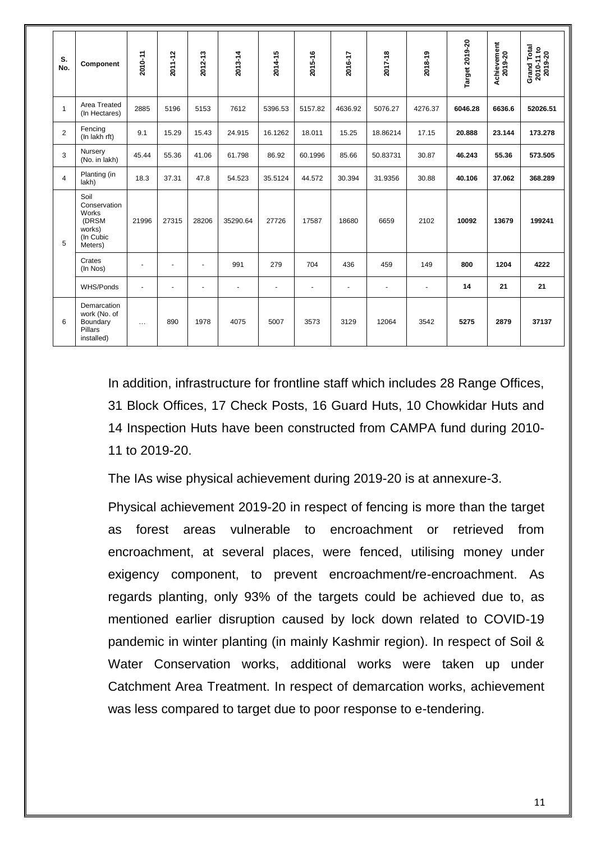| S.<br>No.      | Component                                                                | 2010-11  | 2011-12                  | 2012-13 | 2013-14        | 2014-15 | 2015-16        | 2016-17        | 2017-18        | 2018-19        | Target 2019-20 | Achievement<br>2019-20 | Grand Total<br>2010-11 to<br>2019-20 |
|----------------|--------------------------------------------------------------------------|----------|--------------------------|---------|----------------|---------|----------------|----------------|----------------|----------------|----------------|------------------------|--------------------------------------|
| $\overline{1}$ | Area Treated<br>(In Hectares)                                            | 2885     | 5196                     | 5153    | 7612           | 5396.53 | 5157.82        | 4636.92        | 5076.27        | 4276.37        | 6046.28        | 6636.6                 | 52026.51                             |
| $\overline{2}$ | Fencing<br>(In lakh rft)                                                 | 9.1      | 15.29                    | 15.43   | 24.915         | 16.1262 | 18.011         | 15.25          | 18.86214       | 17.15          | 20.888         | 23.144                 | 173.278                              |
| 3              | Nursery<br>(No. in lakh)                                                 | 45.44    | 55.36                    | 41.06   | 61.798         | 86.92   | 60.1996        | 85.66          | 50.83731       | 30.87          | 46.243         | 55.36                  | 573.505                              |
| $\overline{4}$ | Planting (in<br>lakh)                                                    | 18.3     | 37.31                    | 47.8    | 54.523         | 35.5124 | 44.572         | 30.394         | 31.9356        | 30.88          | 40.106         | 37.062                 | 368,289                              |
| 5              | Soil<br>Conservation<br>Works<br>(DRSM<br>works)<br>(In Cubic<br>Meters) | 21996    | 27315                    | 28206   | 35290.64       | 27726   | 17587          | 18680          | 6659           | 2102           | 10092          | 13679                  | 199241                               |
|                | Crates<br>(In Nos)                                                       | ٠        | $\blacksquare$           | ÷,      | 991            | 279     | 704            | 436            | 459            | 149            | 800            | 1204                   | 4222                                 |
|                | WHS/Ponds                                                                | ٠        | $\overline{\phantom{a}}$ | ÷,      | $\blacksquare$ | $\sim$  | $\blacksquare$ | $\blacksquare$ | $\blacksquare$ | $\blacksquare$ | 14             | 21                     | 21                                   |
| 6              | Demarcation<br>work (No. of<br>Boundary<br>Pillars<br>installed)         | $\cdots$ | 890                      | 1978    | 4075           | 5007    | 3573           | 3129           | 12064          | 3542           | 5275           | 2879                   | 37137                                |

In addition, infrastructure for frontline staff which includes 28 Range Offices, 31 Block Offices, 17 Check Posts, 16 Guard Huts, 10 Chowkidar Huts and 14 Inspection Huts have been constructed from CAMPA fund during 2010- 11 to 2019-20.

The IAs wise physical achievement during 2019-20 is at annexure-3.

Physical achievement 2019-20 in respect of fencing is more than the target as forest areas vulnerable to encroachment or retrieved from encroachment, at several places, were fenced, utilising money under exigency component, to prevent encroachment/re-encroachment. As regards planting, only 93% of the targets could be achieved due to, as mentioned earlier disruption caused by lock down related to COVID-19 pandemic in winter planting (in mainly Kashmir region). In respect of Soil & Water Conservation works, additional works were taken up under Catchment Area Treatment. In respect of demarcation works, achievement was less compared to target due to poor response to e-tendering.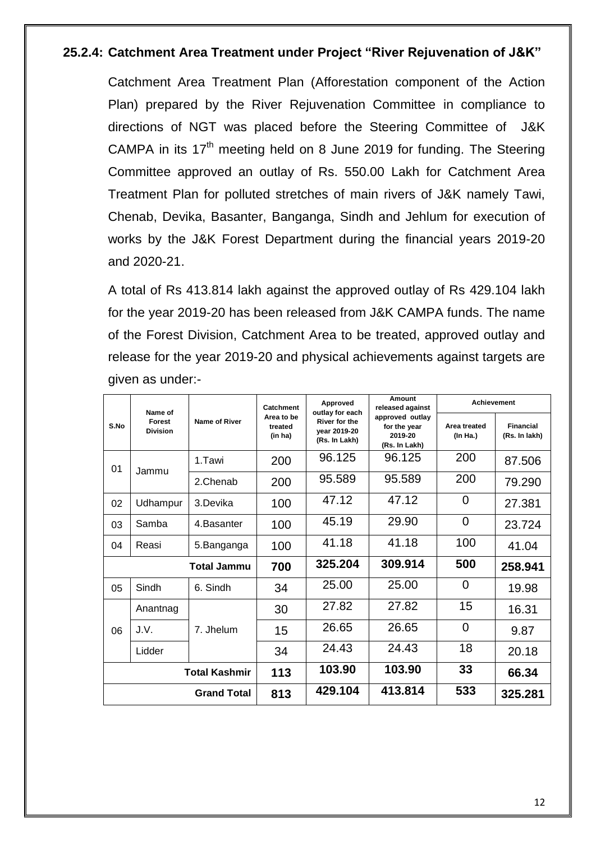### **25.2.4: Catchment Area Treatment under Project "River Rejuvenation of J&K"**

Catchment Area Treatment Plan (Afforestation component of the Action Plan) prepared by the River Rejuvenation Committee in compliance to directions of NGT was placed before the Steering Committee of J&K CAMPA in its  $17<sup>th</sup>$  meeting held on 8 June 2019 for funding. The Steering Committee approved an outlay of Rs. 550.00 Lakh for Catchment Area Treatment Plan for polluted stretches of main rivers of J&K namely Tawi, Chenab, Devika, Basanter, Banganga, Sindh and Jehlum for execution of works by the J&K Forest Department during the financial years 2019-20 and 2020-21.

A total of Rs 413.814 lakh against the approved outlay of Rs 429.104 lakh for the year 2019-20 has been released from J&K CAMPA funds. The name of the Forest Division, Catchment Area to be treated, approved outlay and release for the year 2019-20 and physical achievements against targets are given as under:-

|             | Name of                   |                      | Catchment                        | Approved<br>outlay for each                           | Amount<br>released against                                  | <b>Achievement</b>       |                                   |
|-------------|---------------------------|----------------------|----------------------------------|-------------------------------------------------------|-------------------------------------------------------------|--------------------------|-----------------------------------|
| S.No        | Forest<br><b>Division</b> | Name of River        | Area to be<br>treated<br>(in ha) | <b>River for the</b><br>vear 2019-20<br>(Rs. In Lakh) | approved outlay<br>for the year<br>2019-20<br>(Rs. In Lakh) | Area treated<br>(In Ha.) | <b>Financial</b><br>(Rs. In lakh) |
| 01          | Jammu                     | 1.Tawi               | 200                              | 96.125                                                | 96.125                                                      | 200                      | 87.506                            |
|             |                           | 2.Chenab             | 200                              | 95.589                                                | 95.589                                                      | 200                      | 79.290                            |
| 02          | Udhampur                  | 3.Devika             | 100                              | 47.12                                                 | 47.12                                                       | $\overline{0}$           | 27.381                            |
| 03          | Samba                     | 4.Basanter           | 100                              | 45.19                                                 | 29.90                                                       | 0                        | 23.724                            |
| 04          | Reasi                     | 5.Banganga           | 100                              | 41.18                                                 | 41.18                                                       | 100                      | 41.04                             |
| Total Jammu |                           | 700                  | 325.204                          | 309.914                                               | 500                                                         | 258.941                  |                                   |
| 05          | Sindh                     | 6. Sindh             | 34                               | 25.00                                                 | 25.00                                                       | 0                        | 19.98                             |
|             | Anantnag                  |                      | 30                               | 27.82                                                 | 27.82                                                       | 15                       | 16.31                             |
| 06          | J.V.                      | 7. Jhelum            | 15                               | 26.65                                                 | 26.65                                                       | $\overline{0}$           | 9.87                              |
|             | Lidder                    |                      | 34                               | 24.43                                                 | 24.43                                                       | 18                       | 20.18                             |
|             |                           | <b>Total Kashmir</b> | 113                              | 103.90                                                | 103.90                                                      | 33                       | 66.34                             |
|             |                           | <b>Grand Total</b>   | 813                              | 429.104                                               | 413.814                                                     | 533                      | 325.281                           |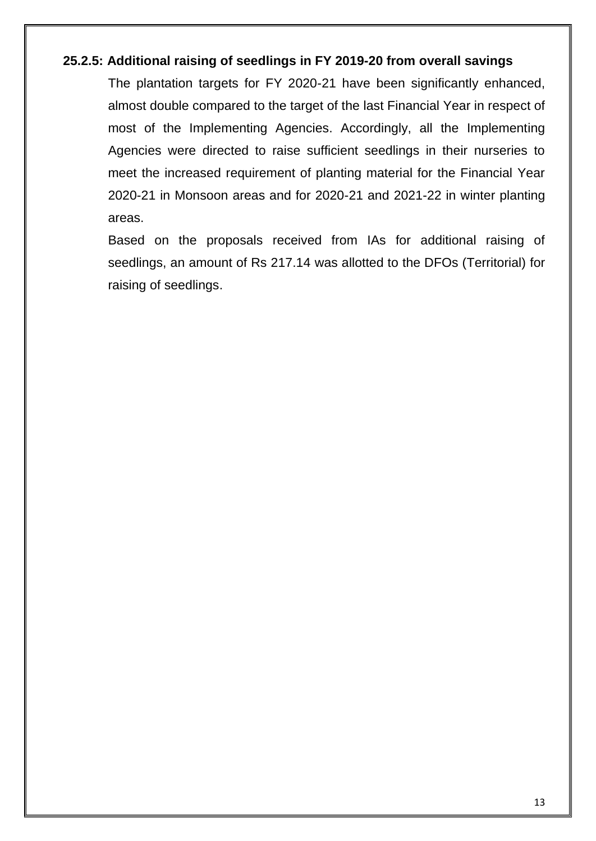#### **25.2.5: Additional raising of seedlings in FY 2019-20 from overall savings**

The plantation targets for FY 2020-21 have been significantly enhanced, almost double compared to the target of the last Financial Year in respect of most of the Implementing Agencies. Accordingly, all the Implementing Agencies were directed to raise sufficient seedlings in their nurseries to meet the increased requirement of planting material for the Financial Year 2020-21 in Monsoon areas and for 2020-21 and 2021-22 in winter planting areas.

Based on the proposals received from IAs for additional raising of seedlings, an amount of Rs 217.14 was allotted to the DFOs (Territorial) for raising of seedlings.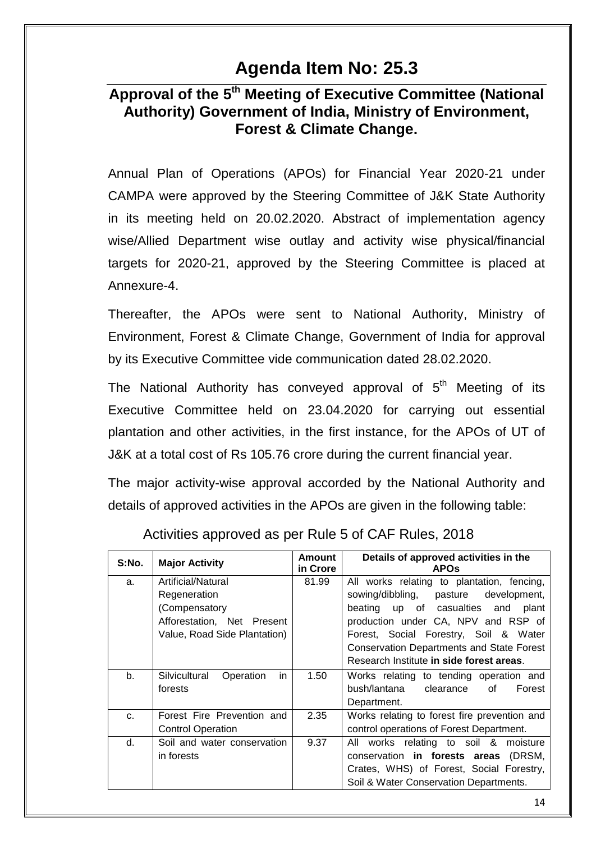# **Agenda Item No: 25.3**

# **Approval of the 5 th Meeting of Executive Committee (National Authority) Government of India, Ministry of Environment, Forest & Climate Change.**

Annual Plan of Operations (APOs) for Financial Year 2020-21 under CAMPA were approved by the Steering Committee of J&K State Authority in its meeting held on 20.02.2020. Abstract of implementation agency wise/Allied Department wise outlay and activity wise physical/financial targets for 2020-21, approved by the Steering Committee is placed at Annexure-4.

Thereafter, the APOs were sent to National Authority, Ministry of Environment, Forest & Climate Change, Government of India for approval by its Executive Committee vide communication dated 28.02.2020.

The National Authority has conveyed approval of  $5<sup>th</sup>$  Meeting of its Executive Committee held on 23.04.2020 for carrying out essential plantation and other activities, in the first instance, for the APOs of UT of J&K at a total cost of Rs 105.76 crore during the current financial year.

The major activity-wise approval accorded by the National Authority and details of approved activities in the APOs are given in the following table:

| S:No.          | <b>Major Activity</b>             | Amount<br>in Crore | Details of approved activities in the<br><b>APOS</b> |
|----------------|-----------------------------------|--------------------|------------------------------------------------------|
| a.             | Artificial/Natural                | 81.99              | All works relating to plantation, fencing,           |
|                | Regeneration                      |                    | sowing/dibbling,<br>pasture development,             |
|                | (Compensatory                     |                    | beating up of casualties and<br>plant                |
|                | Afforestation, Net Present        |                    | production under CA, NPV and RSP of                  |
|                | Value, Road Side Plantation)      |                    | Forest, Social Forestry, Soil & Water                |
|                |                                   |                    | <b>Conservation Departments and State Forest</b>     |
|                |                                   |                    | Research Institute in side forest areas.             |
| b.             | Silvicultural<br>Operation<br>in. | 1.50               | Works relating to tending operation and              |
|                | forests                           |                    | bush/lantana<br>clearance<br>Ωf<br>Forest            |
|                |                                   |                    | Department.                                          |
| C <sub>1</sub> | Forest Fire Prevention and        | 2.35               | Works relating to forest fire prevention and         |
|                | <b>Control Operation</b>          |                    | control operations of Forest Department.             |
| d.             | Soil and water conservation       | 9.37               | All works relating to soil & moisture                |
|                | in forests                        |                    | conservation in forests areas<br>(DRSM,              |
|                |                                   |                    | Crates, WHS) of Forest, Social Forestry,             |
|                |                                   |                    | Soil & Water Conservation Departments.               |

### Activities approved as per Rule 5 of CAF Rules, 2018